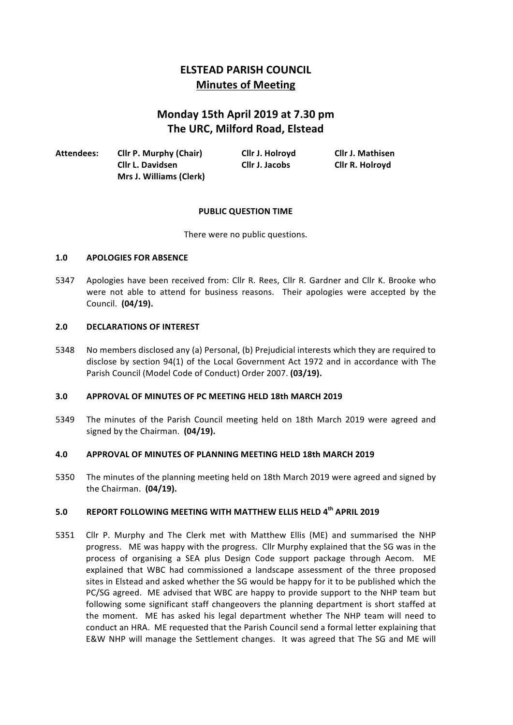# **ELSTEAD PARISH COUNCIL Minutes of Meeting**

# **Monday 15th April 2019 at 7.30 pm The URC, Milford Road, Elstead**

| Attendees: | <b>Cllr P. Murphy (Chair)</b>  | Cllr J. Holroyd | <b>Cllr J. Mathisen</b> |
|------------|--------------------------------|-----------------|-------------------------|
|            | Cllr L. Davidsen               | Cllr J. Jacobs  | Cllr R. Holroyd         |
|            | <b>Mrs J. Williams (Clerk)</b> |                 |                         |

#### **PUBLIC QUESTION TIME**

There were no public questions.

#### 1.0 **APOLOGIES FOR ABSENCE**

5347 Apologies have been received from: Cllr R. Rees, Cllr R. Gardner and Cllr K. Brooke who were not able to attend for business reasons. Their apologies were accepted by the Council. **(04/19).**

#### 2.0 **DECLARATIONS OF INTEREST**

5348 No members disclosed any (a) Personal, (b) Prejudicial interests which they are required to disclose by section 94(1) of the Local Government Act 1972 and in accordance with The Parish Council (Model Code of Conduct) Order 2007. **(03/19).** 

#### **3.0 APPROVAL OF MINUTES OF PC MEETING HELD 18th MARCH 2019**

5349 The minutes of the Parish Council meeting held on 18th March 2019 were agreed and signed by the Chairman. **(04/19).** 

#### **4.0 APPROVAL OF MINUTES OF PLANNING MEETING HELD 18th MARCH 2019**

5350 The minutes of the planning meeting held on 18th March 2019 were agreed and signed by the Chairman. (04/19).

# **5.0** REPORT FOLLOWING MEETING WITH MATTHEW ELLIS HELD 4<sup>th</sup> APRIL 2019

5351 Cllr P. Murphy and The Clerk met with Matthew Ellis (ME) and summarised the NHP progress. ME was happy with the progress. Cllr Murphy explained that the SG was in the process of organising a SEA plus Design Code support package through Aecom. ME explained that WBC had commissioned a landscape assessment of the three proposed sites in Elstead and asked whether the SG would be happy for it to be published which the PC/SG agreed. ME advised that WBC are happy to provide support to the NHP team but following some significant staff changeovers the planning department is short staffed at the moment. ME has asked his legal department whether The NHP team will need to conduct an HRA. ME requested that the Parish Council send a formal letter explaining that E&W NHP will manage the Settlement changes. It was agreed that The SG and ME will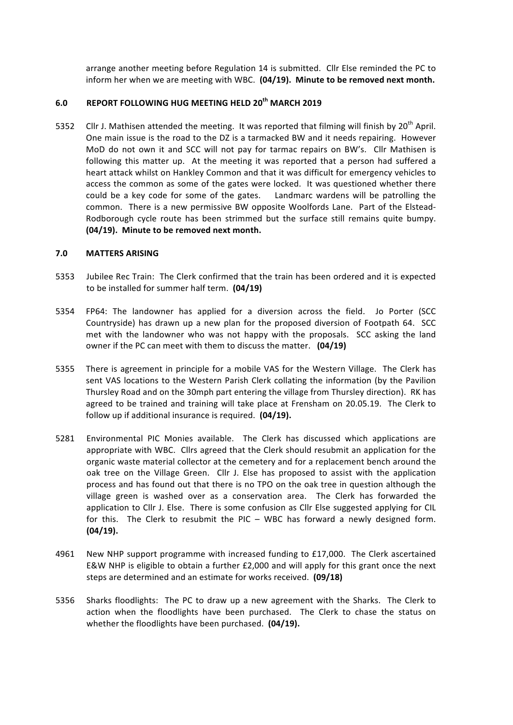arrange another meeting before Regulation 14 is submitted. Cllr Else reminded the PC to inform her when we are meeting with WBC. (04/19). Minute to be removed next month.

# **6.0 REPORT FOLLOWING HUG MEETING HELD 20th MARCH 2019**

5352 Cllr J. Mathisen attended the meeting. It was reported that filming will finish by  $20^{th}$  April. One main issue is the road to the DZ is a tarmacked BW and it needs repairing. However MoD do not own it and SCC will not pay for tarmac repairs on BW's. Cllr Mathisen is following this matter up. At the meeting it was reported that a person had suffered a heart attack whilst on Hankley Common and that it was difficult for emergency vehicles to access the common as some of the gates were locked. It was questioned whether there could be a key code for some of the gates. Landmarc wardens will be patrolling the common. There is a new permissive BW opposite Woolfords Lane. Part of the Elstead-Rodborough cycle route has been strimmed but the surface still remains quite bumpy. (04/19). Minute to be removed next month.

#### **7.0 MATTERS ARISING**

- 5353 Jubilee Rec Train: The Clerk confirmed that the train has been ordered and it is expected to be installed for summer half term. (04/19)
- 5354 FP64: The landowner has applied for a diversion across the field. Jo Porter (SCC Countryside) has drawn up a new plan for the proposed diversion of Footpath 64. SCC met with the landowner who was not happy with the proposals. SCC asking the land owner if the PC can meet with them to discuss the matter. (04/19)
- 5355 There is agreement in principle for a mobile VAS for the Western Village. The Clerk has sent VAS locations to the Western Parish Clerk collating the information (by the Pavilion Thursley Road and on the 30mph part entering the village from Thursley direction). RK has agreed to be trained and training will take place at Frensham on 20.05.19. The Clerk to follow up if additional insurance is required. (04/19).
- 5281 Environmental PIC Monies available. The Clerk has discussed which applications are appropriate with WBC. Cllrs agreed that the Clerk should resubmit an application for the organic waste material collector at the cemetery and for a replacement bench around the oak tree on the Village Green. Cllr J. Else has proposed to assist with the application process and has found out that there is no TPO on the oak tree in question although the village green is washed over as a conservation area. The Clerk has forwarded the application to Cllr J. Else. There is some confusion as Cllr Else suggested applying for CIL for this. The Clerk to resubmit the PIC – WBC has forward a newly designed form. **(04/19).**
- 4961 New NHP support programme with increased funding to £17,000. The Clerk ascertained E&W NHP is eligible to obtain a further  $£2,000$  and will apply for this grant once the next steps are determined and an estimate for works received. (09/18)
- 5356 Sharks floodlights: The PC to draw up a new agreement with the Sharks. The Clerk to action when the floodlights have been purchased. The Clerk to chase the status on whether the floodlights have been purchased. (04/19).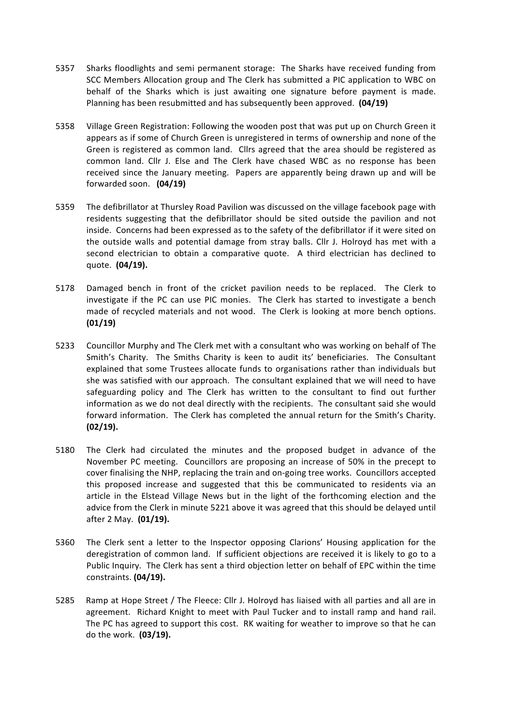- 5357 Sharks floodlights and semi permanent storage: The Sharks have received funding from SCC Members Allocation group and The Clerk has submitted a PIC application to WBC on behalf of the Sharks which is just awaiting one signature before payment is made. Planning has been resubmitted and has subsequently been approved. **(04/19)**
- 5358 Village Green Registration: Following the wooden post that was put up on Church Green it appears as if some of Church Green is unregistered in terms of ownership and none of the Green is registered as common land. Cllrs agreed that the area should be registered as common land. Cllr J. Else and The Clerk have chased WBC as no response has been received since the January meeting. Papers are apparently being drawn up and will be forwarded soon. **(04/19)**
- 5359 The defibrillator at Thursley Road Pavilion was discussed on the village facebook page with residents suggesting that the defibrillator should be sited outside the pavilion and not inside. Concerns had been expressed as to the safety of the defibrillator if it were sited on the outside walls and potential damage from stray balls. Cllr J. Holroyd has met with a second electrician to obtain a comparative quote. A third electrician has declined to quote. **(04/19).**
- 5178 Damaged bench in front of the cricket pavilion needs to be replaced. The Clerk to investigate if the PC can use PIC monies. The Clerk has started to investigate a bench made of recycled materials and not wood. The Clerk is looking at more bench options. **(01/19)**
- 5233 Councillor Murphy and The Clerk met with a consultant who was working on behalf of The Smith's Charity. The Smiths Charity is keen to audit its' beneficiaries. The Consultant explained that some Trustees allocate funds to organisations rather than individuals but she was satisfied with our approach. The consultant explained that we will need to have safeguarding policy and The Clerk has written to the consultant to find out further information as we do not deal directly with the recipients. The consultant said she would forward information. The Clerk has completed the annual return for the Smith's Charity. **(02/19).**
- 5180 The Clerk had circulated the minutes and the proposed budget in advance of the November PC meeting. Councillors are proposing an increase of 50% in the precept to cover finalising the NHP, replacing the train and on-going tree works. Councillors accepted this proposed increase and suggested that this be communicated to residents via an article in the Elstead Village News but in the light of the forthcoming election and the advice from the Clerk in minute 5221 above it was agreed that this should be delayed until after 2 May. (01/19).
- 5360 The Clerk sent a letter to the Inspector opposing Clarions' Housing application for the deregistration of common land. If sufficient objections are received it is likely to go to a Public Inquiry. The Clerk has sent a third objection letter on behalf of EPC within the time constraints. **(04/19).**
- 5285 Ramp at Hope Street / The Fleece: Cllr J. Holroyd has liaised with all parties and all are in agreement. Richard Knight to meet with Paul Tucker and to install ramp and hand rail. The PC has agreed to support this cost. RK waiting for weather to improve so that he can do the work. **(03/19).**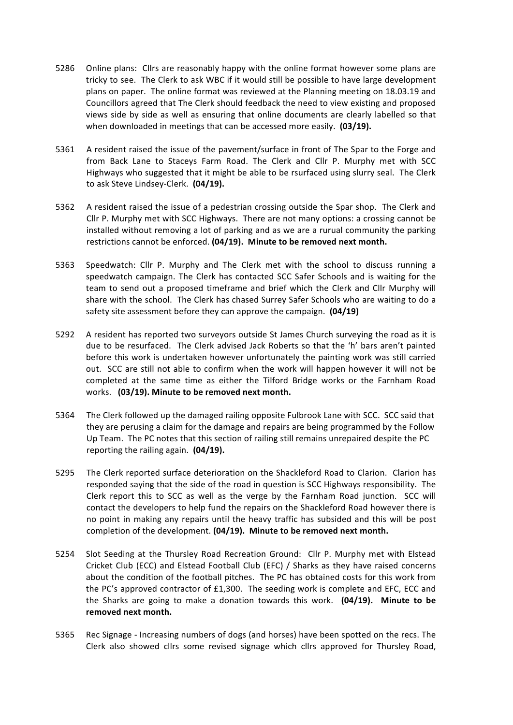- 5286 Online plans: Cllrs are reasonably happy with the online format however some plans are tricky to see. The Clerk to ask WBC if it would still be possible to have large development plans on paper. The online format was reviewed at the Planning meeting on 18.03.19 and Councillors agreed that The Clerk should feedback the need to view existing and proposed views side by side as well as ensuring that online documents are clearly labelled so that when downloaded in meetings that can be accessed more easily. (03/19).
- 5361 A resident raised the issue of the pavement/surface in front of The Spar to the Forge and from Back Lane to Staceys Farm Road. The Clerk and Cllr P. Murphy met with SCC Highways who suggested that it might be able to be rsurfaced using slurry seal. The Clerk to ask Steve Lindsey-Clerk. (04/19).
- 5362 A resident raised the issue of a pedestrian crossing outside the Spar shop. The Clerk and Cllr P. Murphy met with SCC Highways. There are not many options: a crossing cannot be installed without removing a lot of parking and as we are a rurual community the parking restrictions cannot be enforced. (04/19). Minute to be removed next month.
- 5363 Speedwatch: Cllr P. Murphy and The Clerk met with the school to discuss running a speedwatch campaign. The Clerk has contacted SCC Safer Schools and is waiting for the team to send out a proposed timeframe and brief which the Clerk and Cllr Murphy will share with the school. The Clerk has chased Surrey Safer Schools who are waiting to do a safety site assessment before they can approve the campaign. **(04/19)**
- 5292 A resident has reported two surveyors outside St James Church surveying the road as it is due to be resurfaced. The Clerk advised Jack Roberts so that the 'h' bars aren't painted before this work is undertaken however unfortunately the painting work was still carried out. SCC are still not able to confirm when the work will happen however it will not be completed at the same time as either the Tilford Bridge works or the Farnham Road works. (03/19). Minute to be removed next month.
- 5364 The Clerk followed up the damaged railing opposite Fulbrook Lane with SCC. SCC said that they are perusing a claim for the damage and repairs are being programmed by the Follow Up Team. The PC notes that this section of railing still remains unrepaired despite the PC reporting the railing again. (04/19).
- 5295 The Clerk reported surface deterioration on the Shackleford Road to Clarion. Clarion has responded saying that the side of the road in question is SCC Highways responsibility. The Clerk report this to SCC as well as the verge by the Farnham Road junction. SCC will contact the developers to help fund the repairs on the Shackleford Road however there is no point in making any repairs until the heavy traffic has subsided and this will be post completion of the development. (04/19). Minute to be removed next month.
- 5254 Slot Seeding at the Thursley Road Recreation Ground: Cllr P. Murphy met with Elstead Cricket Club (ECC) and Elstead Football Club (EFC) / Sharks as they have raised concerns about the condition of the football pitches. The PC has obtained costs for this work from the  $PC'$ s approved contractor of £1,300. The seeding work is complete and EFC, ECC and the Sharks are going to make a donation towards this work. (04/19). Minute to be removed next month.
- 5365 Rec Signage Increasing numbers of dogs (and horses) have been spotted on the recs. The Clerk also showed cllrs some revised signage which cllrs approved for Thursley Road,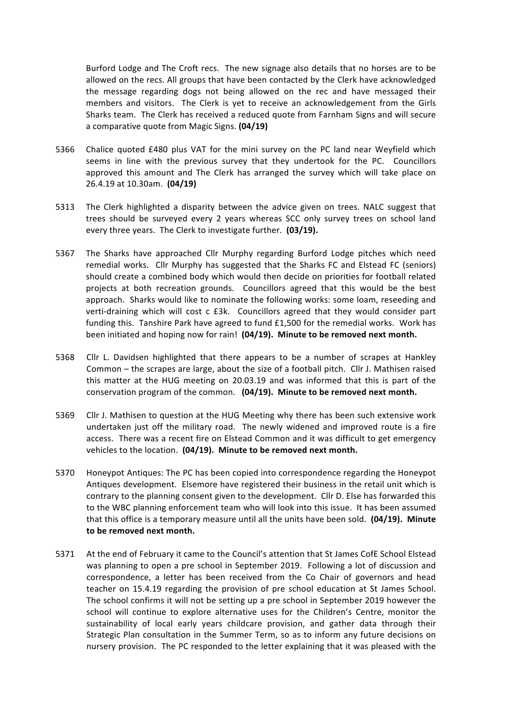Burford Lodge and The Croft recs. The new signage also details that no horses are to be allowed on the recs. All groups that have been contacted by the Clerk have acknowledged the message regarding dogs not being allowed on the rec and have messaged their members and visitors. The Clerk is yet to receive an acknowledgement from the Girls Sharks team. The Clerk has received a reduced quote from Farnham Signs and will secure a comparative quote from Magic Signs. **(04/19)** 

- 5366 Chalice quoted £480 plus VAT for the mini survey on the PC land near Weyfield which seems in line with the previous survey that they undertook for the PC. Councillors approved this amount and The Clerk has arranged the survey which will take place on 26.4.19 at 10.30am. **(04/19)**
- 5313 The Clerk highlighted a disparity between the advice given on trees. NALC suggest that trees should be surveyed every 2 years whereas SCC only survey trees on school land every three years. The Clerk to investigate further. (03/19).
- 5367 The Sharks have approached Cllr Murphy regarding Burford Lodge pitches which need remedial works. Cllr Murphy has suggested that the Sharks FC and Elstead FC (seniors) should create a combined body which would then decide on priorities for football related projects at both recreation grounds. Councillors agreed that this would be the best approach. Sharks would like to nominate the following works: some loam, reseeding and verti-draining which will cost c £3k. Councillors agreed that they would consider part funding this. Tanshire Park have agreed to fund  $£1,500$  for the remedial works. Work has been initiated and hoping now for rain! (04/19). Minute to be removed next month.
- 5368 Cllr L. Davidsen highlighted that there appears to be a number of scrapes at Hankley Common – the scrapes are large, about the size of a football pitch. Cllr J. Mathisen raised this matter at the HUG meeting on 20.03.19 and was informed that this is part of the conservation program of the common. (04/19). Minute to be removed next month.
- 5369 Cllr J. Mathisen to question at the HUG Meeting why there has been such extensive work undertaken just off the military road. The newly widened and improved route is a fire access. There was a recent fire on Elstead Common and it was difficult to get emergency vehicles to the location. (04/19). Minute to be removed next month.
- 5370 Honeypot Antiques: The PC has been copied into correspondence regarding the Honeypot Antiques development. Elsemore have registered their business in the retail unit which is contrary to the planning consent given to the development. Cllr D. Else has forwarded this to the WBC planning enforcement team who will look into this issue. It has been assumed that this office is a temporary measure until all the units have been sold. (04/19). Minute to be removed next month.
- 5371 At the end of February it came to the Council's attention that St James CofE School Elstead was planning to open a pre school in September 2019. Following a lot of discussion and correspondence, a letter has been received from the Co Chair of governors and head teacher on 15.4.19 regarding the provision of pre school education at St James School. The school confirms it will not be setting up a pre school in September 2019 however the school will continue to explore alternative uses for the Children's Centre, monitor the sustainability of local early years childcare provision, and gather data through their Strategic Plan consultation in the Summer Term, so as to inform any future decisions on nursery provision. The PC responded to the letter explaining that it was pleased with the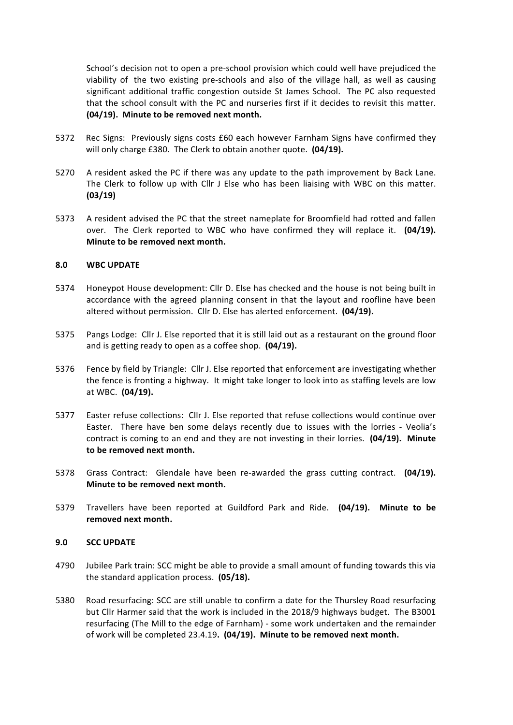School's decision not to open a pre-school provision which could well have prejudiced the viability of the two existing pre-schools and also of the village hall, as well as causing significant additional traffic congestion outside St James School. The PC also requested that the school consult with the PC and nurseries first if it decides to revisit this matter. **(04/19).** Minute to be removed next month.

- 5372 Rec Signs: Previously signs costs £60 each however Farnham Signs have confirmed they will only charge £380. The Clerk to obtain another quote. (04/19).
- 5270 A resident asked the PC if there was any update to the path improvement by Back Lane. The Clerk to follow up with Cllr J Else who has been liaising with WBC on this matter. **(03/19)**
- 5373 A resident advised the PC that the street nameplate for Broomfield had rotted and fallen over. The Clerk reported to WBC who have confirmed they will replace it. (04/19). **Minute to be removed next month.**

#### **8.0 WBC UPDATE**

- 5374 Honeypot House development: Cllr D. Else has checked and the house is not being built in accordance with the agreed planning consent in that the layout and roofline have been altered without permission. Cllr D. Else has alerted enforcement. **(04/19).**
- 5375 Pangs Lodge: Cllr J. Else reported that it is still laid out as a restaurant on the ground floor and is getting ready to open as a coffee shop. (04/19).
- 5376 Fence by field by Triangle: Cllr J. Else reported that enforcement are investigating whether the fence is fronting a highway. It might take longer to look into as staffing levels are low at WBC. (04/19).
- 5377 Easter refuse collections: Cllr J. Else reported that refuse collections would continue over Easter. There have ben some delays recently due to issues with the lorries - Veolia's contract is coming to an end and they are not investing in their lorries. (04/19). Minute to be removed next month.
- 5378 Grass Contract: Glendale have been re-awarded the grass cutting contract. **(04/19). Minute to be removed next month.**
- 5379 Travellers have been reported at Guildford Park and Ride. (04/19). Minute to be removed next month.

#### **9.0 SCC UPDATE**

- 4790 Jubilee Park train: SCC might be able to provide a small amount of funding towards this via the standard application process. (05/18).
- 5380 Road resurfacing: SCC are still unable to confirm a date for the Thursley Road resurfacing but Cllr Harmer said that the work is included in the 2018/9 highways budget. The B3001 resurfacing (The Mill to the edge of Farnham) - some work undertaken and the remainder of work will be completed 23.4.19. (04/19). Minute to be removed next month.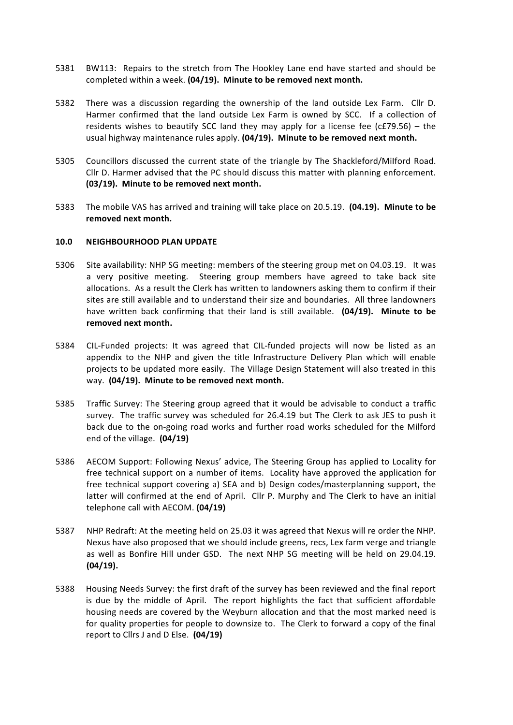- 5381 BW113: Repairs to the stretch from The Hookley Lane end have started and should be completed within a week. (04/19). Minute to be removed next month.
- 5382 There was a discussion regarding the ownership of the land outside Lex Farm. Cllr D. Harmer confirmed that the land outside Lex Farm is owned by SCC. If a collection of residents wishes to beautify SCC land they may apply for a license fee  $(cE79.56) -$  the usual highway maintenance rules apply. (04/19). Minute to be removed next month.
- 5305 Councillors discussed the current state of the triangle by The Shackleford/Milford Road. Cllr D. Harmer advised that the PC should discuss this matter with planning enforcement. **(03/19).** Minute to be removed next month.
- 5383 The mobile VAS has arrived and training will take place on 20.5.19. **(04.19). Minute to be** removed next month.

#### **10.0 NEIGHBOURHOOD PLAN UPDATE**

- 5306 Site availability: NHP SG meeting: members of the steering group met on 04.03.19. It was a very positive meeting. Steering group members have agreed to take back site allocations. As a result the Clerk has written to landowners asking them to confirm if their sites are still available and to understand their size and boundaries. All three landowners have written back confirming that their land is still available. (04/19). Minute to be removed next month.
- 5384 CIL-Funded projects: It was agreed that CIL-funded projects will now be listed as an appendix to the NHP and given the title Infrastructure Delivery Plan which will enable projects to be updated more easily. The Village Design Statement will also treated in this way. (04/19). Minute to be removed next month.
- 5385 Traffic Survey: The Steering group agreed that it would be advisable to conduct a traffic survey. The traffic survey was scheduled for 26.4.19 but The Clerk to ask JES to push it back due to the on-going road works and further road works scheduled for the Milford end of the village. **(04/19)**
- 5386 AECOM Support: Following Nexus' advice. The Steering Group has applied to Locality for free technical support on a number of items. Locality have approved the application for free technical support covering a) SEA and b) Design codes/masterplanning support, the latter will confirmed at the end of April. Cllr P. Murphy and The Clerk to have an initial telephone call with AECOM. **(04/19)**
- 5387 NHP Redraft: At the meeting held on 25.03 it was agreed that Nexus will re order the NHP. Nexus have also proposed that we should include greens, recs, Lex farm verge and triangle as well as Bonfire Hill under GSD. The next NHP SG meeting will be held on 29.04.19. **(04/19).**
- 5388 Housing Needs Survey: the first draft of the survey has been reviewed and the final report is due by the middle of April. The report highlights the fact that sufficient affordable housing needs are covered by the Weyburn allocation and that the most marked need is for quality properties for people to downsize to. The Clerk to forward a copy of the final report to Cllrs J and D Else. **(04/19)**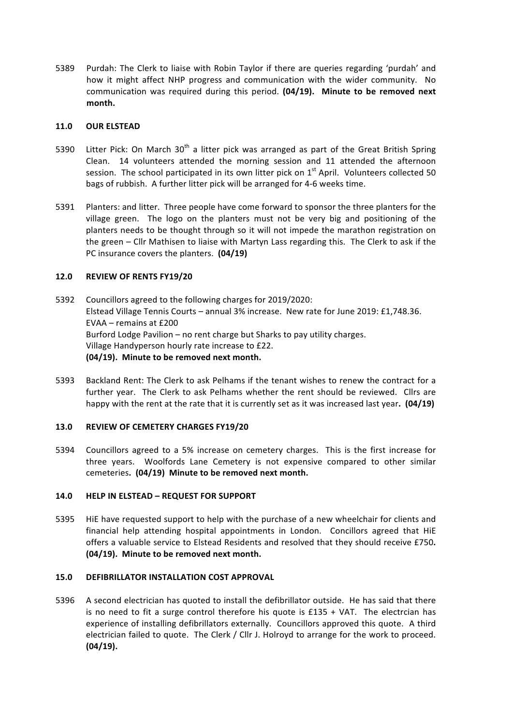5389 Purdah: The Clerk to liaise with Robin Taylor if there are queries regarding 'purdah' and how it might affect NHP progress and communication with the wider community. No communication was required during this period. **(04/19). Minute to be removed next month.**

#### **11.0 OUR ELSTEAD**

- 5390 Litter Pick: On March  $30<sup>th</sup>$  a litter pick was arranged as part of the Great British Spring Clean. 14 volunteers attended the morning session and 11 attended the afternoon session. The school participated in its own litter pick on  $1<sup>st</sup>$  April. Volunteers collected 50 bags of rubbish. A further litter pick will be arranged for 4-6 weeks time.
- 5391 Planters: and litter. Three people have come forward to sponsor the three planters for the village green. The logo on the planters must not be very big and positioning of the planters needs to be thought through so it will not impede the marathon registration on the green – Cllr Mathisen to liaise with Martyn Lass regarding this. The Clerk to ask if the PC insurance covers the planters. (04/19)

#### **12.0 REVIEW OF RENTS FY19/20**

5392 Councillors agreed to the following charges for 2019/2020: Elstead Village Tennis Courts - annual 3% increase. New rate for June 2019: £1,748.36. EVAA  $-$  remains at  $£200$ Burford Lodge Pavilion – no rent charge but Sharks to pay utility charges. Village Handyperson hourly rate increase to £22. **(04/19).** Minute to be removed next month.

5393 Backland Rent: The Clerk to ask Pelhams if the tenant wishes to renew the contract for a further year. The Clerk to ask Pelhams whether the rent should be reviewed. Cllrs are happy with the rent at the rate that it is currently set as it was increased last year. **(04/19)** 

# **13.0 REVIEW OF CEMETERY CHARGES FY19/20**

5394 Councillors agreed to a 5% increase on cemetery charges. This is the first increase for three years. Woolfords Lane Cemetery is not expensive compared to other similar cemeteries. (04/19) Minute to be removed next month.

# **14.0 HELP IN ELSTEAD – REQUEST FOR SUPPORT**

5395 HiE have requested support to help with the purchase of a new wheelchair for clients and financial help attending hospital appointments in London. Concillors agreed that HiE offers a valuable service to Elstead Residents and resolved that they should receive £750. **(04/19).** Minute to be removed next month.

#### 15.0 DEFIBRILLATOR INSTALLATION COST APPROVAL

5396 A second electrician has quoted to install the defibrillator outside. He has said that there is no need to fit a surge control therefore his quote is  $£135 + VA$ . The electrcian has experience of installing defibrillators externally. Councillors approved this quote. A third electrician failed to quote. The Clerk  $/$  Cllr J. Holroyd to arrange for the work to proceed. **(04/19).**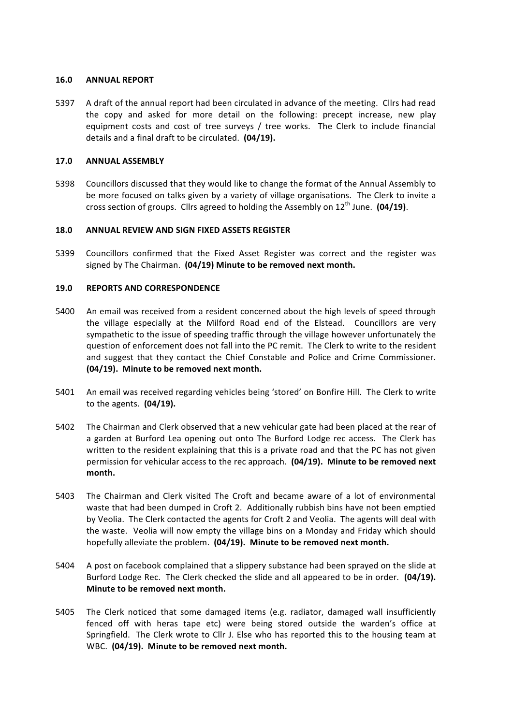#### **16.0 ANNUAL REPORT**

5397 A draft of the annual report had been circulated in advance of the meeting. Cllrs had read the copy and asked for more detail on the following: precept increase, new play equipment costs and cost of tree surveys / tree works. The Clerk to include financial details and a final draft to be circulated. (04/19).

# **17.0 ANNUAL ASSEMBLY**

5398 Councillors discussed that they would like to change the format of the Annual Assembly to be more focused on talks given by a variety of village organisations. The Clerk to invite a cross section of groups. Cllrs agreed to holding the Assembly on 12<sup>th</sup> June. (04/19).

#### **18.0 ANNUAL REVIEW AND SIGN FIXED ASSETS REGISTER**

5399 Councillors confirmed that the Fixed Asset Register was correct and the register was signed by The Chairman. (04/19) Minute to be removed next month.

#### **19.0 REPORTS AND CORRESPONDENCE**

- 5400 An email was received from a resident concerned about the high levels of speed through the village especially at the Milford Road end of the Elstead. Councillors are very sympathetic to the issue of speeding traffic through the village however unfortunately the question of enforcement does not fall into the PC remit. The Clerk to write to the resident and suggest that they contact the Chief Constable and Police and Crime Commissioner. (04/19). Minute to be removed next month.
- 5401 An email was received regarding vehicles being 'stored' on Bonfire Hill. The Clerk to write to the agents. **(04/19).**
- 5402 The Chairman and Clerk observed that a new vehicular gate had been placed at the rear of a garden at Burford Lea opening out onto The Burford Lodge rec access. The Clerk has written to the resident explaining that this is a private road and that the PC has not given permission for vehicular access to the rec approach. (04/19). Minute to be removed next **month.**
- 5403 The Chairman and Clerk visited The Croft and became aware of a lot of environmental waste that had been dumped in Croft 2. Additionally rubbish bins have not been emptied by Veolia. The Clerk contacted the agents for Croft 2 and Veolia. The agents will deal with the waste. Veolia will now empty the village bins on a Monday and Friday which should hopefully alleviate the problem. (04/19). Minute to be removed next month.
- 5404 A post on facebook complained that a slippery substance had been sprayed on the slide at Burford Lodge Rec. The Clerk checked the slide and all appeared to be in order. (04/19). **Minute to be removed next month.**
- 5405 The Clerk noticed that some damaged items (e.g. radiator, damaged wall insufficiently fenced off with heras tape etc) were being stored outside the warden's office at Springfield. The Clerk wrote to Cllr J. Else who has reported this to the housing team at WBC. (04/19). Minute to be removed next month.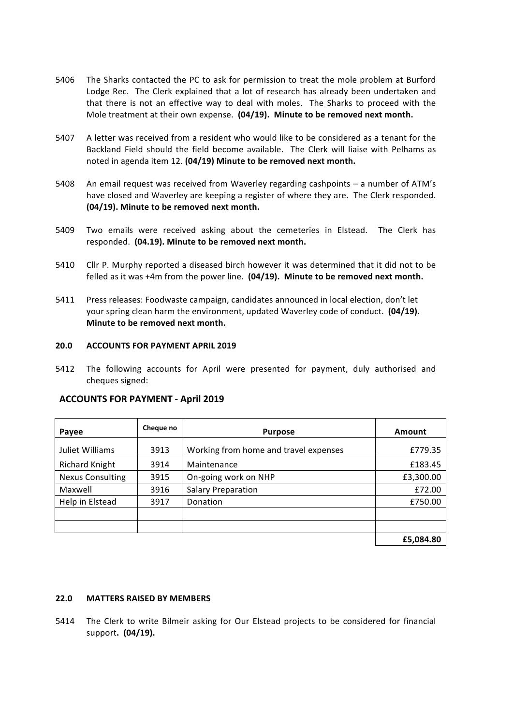- 5406 The Sharks contacted the PC to ask for permission to treat the mole problem at Burford Lodge Rec. The Clerk explained that a lot of research has already been undertaken and that there is not an effective way to deal with moles. The Sharks to proceed with the Mole treatment at their own expense. (04/19). Minute to be removed next month.
- 5407 A letter was received from a resident who would like to be considered as a tenant for the Backland Field should the field become available. The Clerk will liaise with Pelhams as noted in agenda item 12. (04/19) Minute to be removed next month.
- 5408 An email request was received from Waverley regarding cashpoints a number of ATM's have closed and Waverley are keeping a register of where they are. The Clerk responded. **(04/19).** Minute to be removed next month.
- 5409 Two emails were received asking about the cemeteries in Elstead. The Clerk has responded. (04.19). Minute to be removed next month.
- 5410 Cllr P. Murphy reported a diseased birch however it was determined that it did not to be felled as it was +4m from the power line. (04/19). Minute to be removed next month.
- 5411 Press releases: Foodwaste campaign, candidates announced in local election, don't let your spring clean harm the environment, updated Waverley code of conduct. (04/19). **Minute to be removed next month.**

#### **20.0 ACCOUNTS FOR PAYMENT APRIL 2019**

5412 The following accounts for April were presented for payment, duly authorised and cheques signed:

| Payee                   | Cheque no | <b>Purpose</b>                        | Amount    |
|-------------------------|-----------|---------------------------------------|-----------|
| Juliet Williams         | 3913      | Working from home and travel expenses | £779.35   |
| <b>Richard Knight</b>   | 3914      | Maintenance                           | £183.45   |
| <b>Nexus Consulting</b> | 3915      | On-going work on NHP                  | £3,300.00 |
| Maxwell                 | 3916      | <b>Salary Preparation</b>             | £72.00    |
| Help in Elstead         | 3917      | Donation                              | £750.00   |
|                         |           |                                       |           |
|                         |           |                                       |           |
|                         |           |                                       | £5,084.80 |

# **ACCOUNTS FOR PAYMENT - April 2019**

#### **22.0 MATTERS RAISED BY MEMBERS**

5414 The Clerk to write Bilmeir asking for Our Elstead projects to be considered for financial support. (04/19).